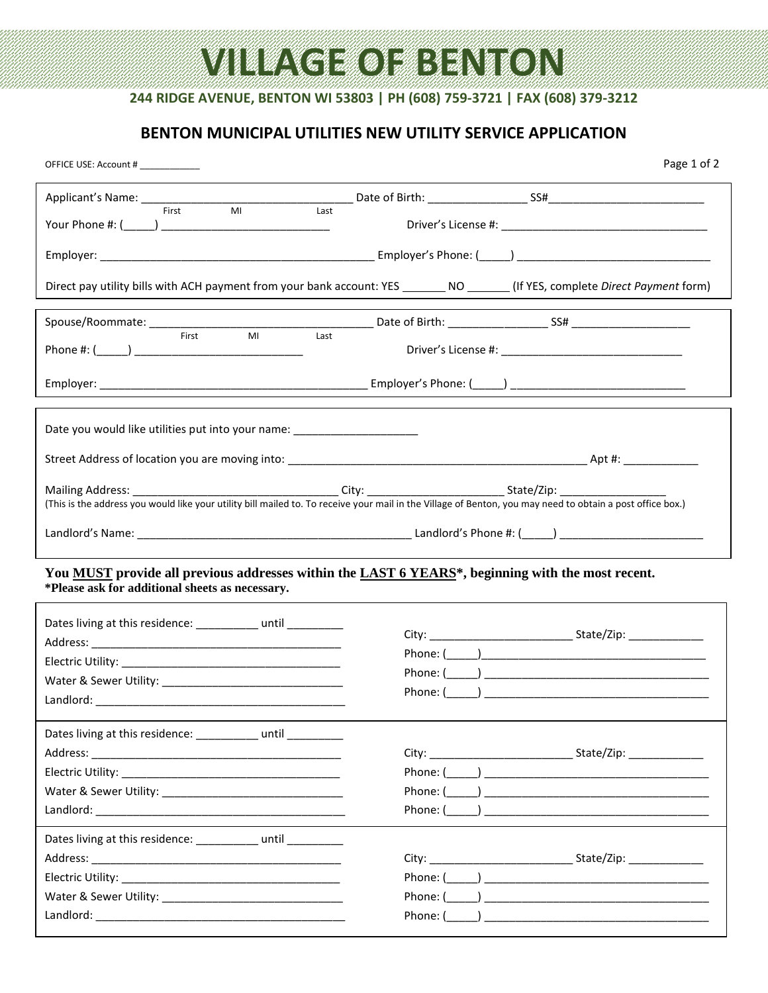# **VILLAGE OF BENTON**

## **244 RIDGE AVENUE, BENTON WI 53803 | PH (608) 759-3721 | FAX (608) 379-3212**

### **BENTON MUNICIPAL UTILITIES NEW UTILITY SERVICE APPLICATION**

| OFFICE USE: Account #                                                                                                                                | Page 1 of 2                                                                                                                                                |  |  |  |  |
|------------------------------------------------------------------------------------------------------------------------------------------------------|------------------------------------------------------------------------------------------------------------------------------------------------------------|--|--|--|--|
|                                                                                                                                                      |                                                                                                                                                            |  |  |  |  |
| First<br>MI<br>Last                                                                                                                                  |                                                                                                                                                            |  |  |  |  |
|                                                                                                                                                      |                                                                                                                                                            |  |  |  |  |
|                                                                                                                                                      | Direct pay utility bills with ACH payment from your bank account: YES ________ NO _______ (If YES, complete Direct Payment form)                           |  |  |  |  |
|                                                                                                                                                      |                                                                                                                                                            |  |  |  |  |
| M <sub>l</sub><br>Last<br>First                                                                                                                      |                                                                                                                                                            |  |  |  |  |
|                                                                                                                                                      |                                                                                                                                                            |  |  |  |  |
| Date you would like utilities put into your name: _______________________                                                                            |                                                                                                                                                            |  |  |  |  |
|                                                                                                                                                      |                                                                                                                                                            |  |  |  |  |
|                                                                                                                                                      | (This is the address you would like your utility bill mailed to. To receive your mail in the Village of Benton, you may need to obtain a post office box.) |  |  |  |  |
|                                                                                                                                                      |                                                                                                                                                            |  |  |  |  |
| You MUST provide all previous addresses within the LAST 6 YEARS*, beginning with the most recent.<br>*Please ask for additional sheets as necessary. |                                                                                                                                                            |  |  |  |  |
| Dates living at this residence: ___________ until _________                                                                                          |                                                                                                                                                            |  |  |  |  |
|                                                                                                                                                      |                                                                                                                                                            |  |  |  |  |
|                                                                                                                                                      |                                                                                                                                                            |  |  |  |  |
|                                                                                                                                                      |                                                                                                                                                            |  |  |  |  |
|                                                                                                                                                      |                                                                                                                                                            |  |  |  |  |
| Dates living at this residence: __________ until _________                                                                                           |                                                                                                                                                            |  |  |  |  |
|                                                                                                                                                      |                                                                                                                                                            |  |  |  |  |
|                                                                                                                                                      | Phone: (                                                                                                                                                   |  |  |  |  |
|                                                                                                                                                      | Phone: ( )                                                                                                                                                 |  |  |  |  |
|                                                                                                                                                      | Phone: (                                                                                                                                                   |  |  |  |  |
| Dates living at this residence: __________ until _________                                                                                           |                                                                                                                                                            |  |  |  |  |
|                                                                                                                                                      |                                                                                                                                                            |  |  |  |  |
|                                                                                                                                                      | Phone: (                                                                                                                                                   |  |  |  |  |
|                                                                                                                                                      |                                                                                                                                                            |  |  |  |  |
|                                                                                                                                                      |                                                                                                                                                            |  |  |  |  |